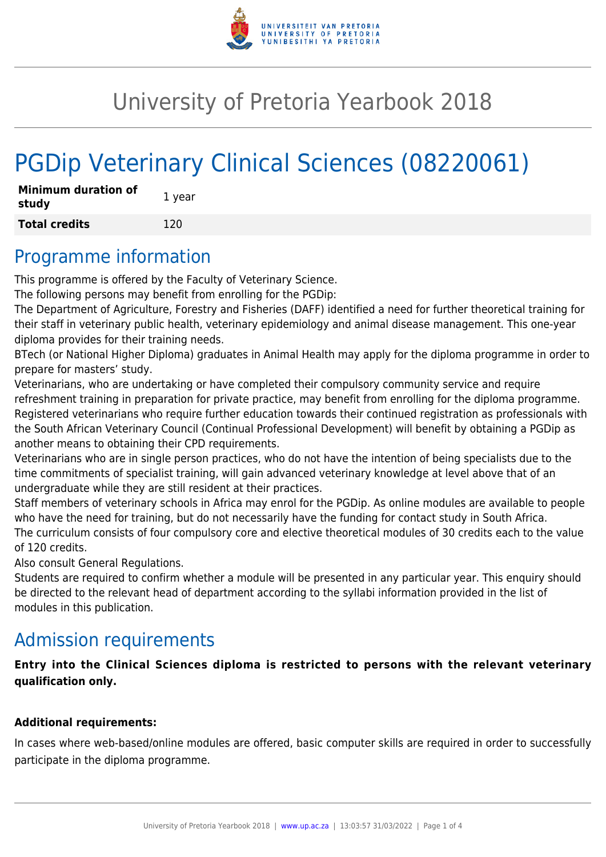

## University of Pretoria Yearbook 2018

# PGDip Veterinary Clinical Sciences (08220061)

| <b>Minimum duration of</b><br>study | 1 year |
|-------------------------------------|--------|
| <b>Total credits</b>                | 120    |

#### Programme information

This programme is offered by the Faculty of Veterinary Science.

The following persons may benefit from enrolling for the PGDip:

The Department of Agriculture, Forestry and Fisheries (DAFF) identified a need for further theoretical training for their staff in veterinary public health, veterinary epidemiology and animal disease management. This one-year diploma provides for their training needs.

BTech (or National Higher Diploma) graduates in Animal Health may apply for the diploma programme in order to prepare for masters' study.

Veterinarians, who are undertaking or have completed their compulsory community service and require refreshment training in preparation for private practice, may benefit from enrolling for the diploma programme. Registered veterinarians who require further education towards their continued registration as professionals with the South African Veterinary Council (Continual Professional Development) will benefit by obtaining a PGDip as another means to obtaining their CPD requirements.

Veterinarians who are in single person practices, who do not have the intention of being specialists due to the time commitments of specialist training, will gain advanced veterinary knowledge at level above that of an undergraduate while they are still resident at their practices.

Staff members of veterinary schools in Africa may enrol for the PGDip. As online modules are available to people who have the need for training, but do not necessarily have the funding for contact study in South Africa. The curriculum consists of four compulsory core and elective theoretical modules of 30 credits each to the value of 120 credits.

Also consult General Regulations.

Students are required to confirm whether a module will be presented in any particular year. This enquiry should be directed to the relevant head of department according to the syllabi information provided in the list of modules in this publication.

### Admission requirements

**Entry into the Clinical Sciences diploma is restricted to persons with the relevant veterinary qualification only.**

#### **Additional requirements:**

In cases where web-based/online modules are offered, basic computer skills are required in order to successfully participate in the diploma programme.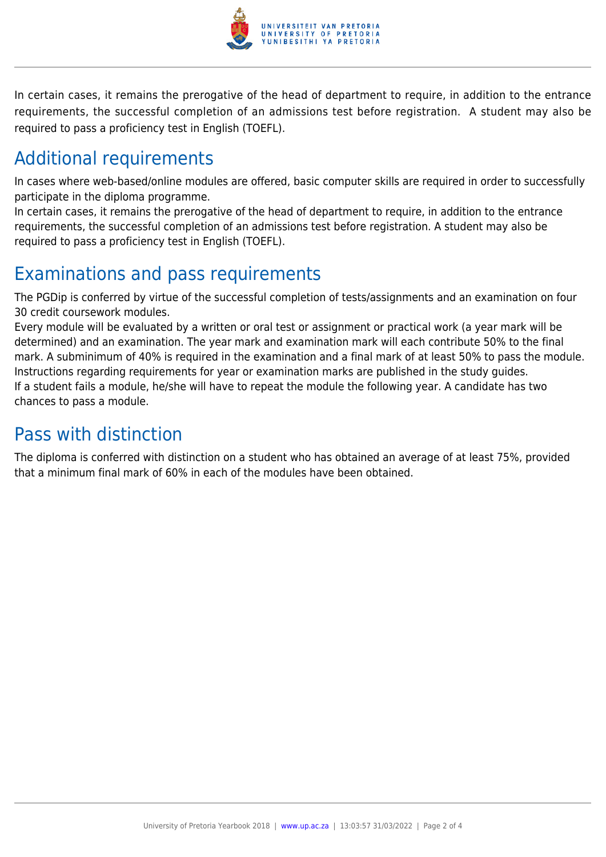

In certain cases, it remains the prerogative of the head of department to require, in addition to the entrance requirements, the successful completion of an admissions test before registration. A student may also be required to pass a proficiency test in English (TOEFL).

### Additional requirements

In cases where web-based/online modules are offered, basic computer skills are required in order to successfully participate in the diploma programme.

In certain cases, it remains the prerogative of the head of department to require, in addition to the entrance requirements, the successful completion of an admissions test before registration. A student may also be required to pass a proficiency test in English (TOEFL).

### Examinations and pass requirements

The PGDip is conferred by virtue of the successful completion of tests/assignments and an examination on four 30 credit coursework modules.

Every module will be evaluated by a written or oral test or assignment or practical work (a year mark will be determined) and an examination. The year mark and examination mark will each contribute 50% to the final mark. A subminimum of 40% is required in the examination and a final mark of at least 50% to pass the module. Instructions regarding requirements for year or examination marks are published in the study guides. If a student fails a module, he/she will have to repeat the module the following year. A candidate has two chances to pass a module.

### Pass with distinction

The diploma is conferred with distinction on a student who has obtained an average of at least 75%, provided that a minimum final mark of 60% in each of the modules have been obtained.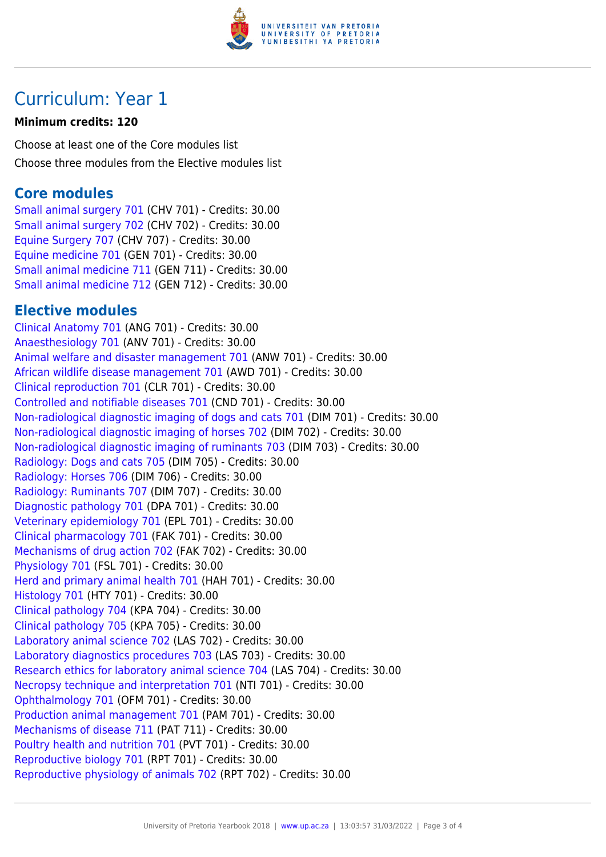

### Curriculum: Year 1

#### **Minimum credits: 120**

Choose at least one of the Core modules list Choose three modules from the Elective modules list

#### **Core modules**

[Small animal surgery 701](https://www.up.ac.za/yearbooks/2018/modules/view/CHV 701) (CHV 701) - Credits: 30.00 [Small animal surgery 702](https://www.up.ac.za/yearbooks/2018/modules/view/CHV 702) (CHV 702) - Credits: 30.00 [Equine Surgery 707](https://www.up.ac.za/yearbooks/2018/modules/view/CHV 707) (CHV 707) - Credits: 30.00 [Equine medicine 701](https://www.up.ac.za/yearbooks/2018/modules/view/GEN 701) (GEN 701) - Credits: 30.00 [Small animal medicine 711](https://www.up.ac.za/yearbooks/2018/modules/view/GEN 711) (GEN 711) - Credits: 30.00 [Small animal medicine 712](https://www.up.ac.za/yearbooks/2018/modules/view/GEN 712) (GEN 712) - Credits: 30.00

#### **Elective modules**

[Clinical Anatomy 701](https://www.up.ac.za/yearbooks/2018/modules/view/ANG 701) (ANG 701) - Credits: 30.00 [Anaesthesiology 701](https://www.up.ac.za/yearbooks/2018/modules/view/ANV 701) (ANV 701) - Credits: 30.00 [Animal welfare and disaster management 701](https://www.up.ac.za/yearbooks/2018/modules/view/ANW 701) (ANW 701) - Credits: 30.00 [African wildlife disease management 701](https://www.up.ac.za/yearbooks/2018/modules/view/AWD 701) (AWD 701) - Credits: 30.00 [Clinical reproduction 701](https://www.up.ac.za/yearbooks/2018/modules/view/CLR 701) (CLR 701) - Credits: 30.00 [Controlled and notifiable diseases 701](https://www.up.ac.za/yearbooks/2018/modules/view/CND 701) (CND 701) - Credits: 30.00 [Non-radiological diagnostic imaging of dogs and cats 701](https://www.up.ac.za/yearbooks/2018/modules/view/DIM 701) (DIM 701) - Credits: 30.00 [Non-radiological diagnostic imaging of horses 702](https://www.up.ac.za/yearbooks/2018/modules/view/DIM 702) (DIM 702) - Credits: 30.00 [Non-radiological diagnostic imaging of ruminants 703](https://www.up.ac.za/yearbooks/2018/modules/view/DIM 703) (DIM 703) - Credits: 30.00 [Radiology: Dogs and cats 705](https://www.up.ac.za/yearbooks/2018/modules/view/DIM 705) (DIM 705) - Credits: 30.00 [Radiology: Horses 706](https://www.up.ac.za/yearbooks/2018/modules/view/DIM 706) (DIM 706) - Credits: 30.00 [Radiology: Ruminants 707](https://www.up.ac.za/yearbooks/2018/modules/view/DIM 707) (DIM 707) - Credits: 30.00 [Diagnostic pathology 701](https://www.up.ac.za/yearbooks/2018/modules/view/DPA 701) (DPA 701) - Credits: 30.00 [Veterinary epidemiology 701](https://www.up.ac.za/yearbooks/2018/modules/view/EPL 701) (EPL 701) - Credits: 30.00 [Clinical pharmacology 701](https://www.up.ac.za/yearbooks/2018/modules/view/FAK 701) (FAK 701) - Credits: 30.00 [Mechanisms of drug action 702](https://www.up.ac.za/yearbooks/2018/modules/view/FAK 702) (FAK 702) - Credits: 30.00 [Physiology 701](https://www.up.ac.za/yearbooks/2018/modules/view/FSL 701) (FSL 701) - Credits: 30.00 [Herd and primary animal health 701](https://www.up.ac.za/yearbooks/2018/modules/view/HAH 701) (HAH 701) - Credits: 30.00 [Histology 701](https://www.up.ac.za/yearbooks/2018/modules/view/HTY 701) (HTY 701) - Credits: 30.00 [Clinical pathology 704](https://www.up.ac.za/yearbooks/2018/modules/view/KPA 704) (KPA 704) - Credits: 30.00 [Clinical pathology 705](https://www.up.ac.za/yearbooks/2018/modules/view/KPA 705) (KPA 705) - Credits: 30.00 [Laboratory animal science 702](https://www.up.ac.za/yearbooks/2018/modules/view/LAS 702) (LAS 702) - Credits: 30.00 [Laboratory diagnostics procedures 703](https://www.up.ac.za/yearbooks/2018/modules/view/LAS 703) (LAS 703) - Credits: 30.00 [Research ethics for laboratory animal science 704](https://www.up.ac.za/yearbooks/2018/modules/view/LAS 704) (LAS 704) - Credits: 30.00 [Necropsy technique and interpretation 701](https://www.up.ac.za/yearbooks/2018/modules/view/NTI 701) (NTI 701) - Credits: 30.00 [Ophthalmology 701](https://www.up.ac.za/yearbooks/2018/modules/view/OFM 701) (OFM 701) - Credits: 30.00 [Production animal management 701](https://www.up.ac.za/yearbooks/2018/modules/view/PAM 701) (PAM 701) - Credits: 30.00 [Mechanisms of disease 711](https://www.up.ac.za/yearbooks/2018/modules/view/PAT 711) (PAT 711) - Credits: 30.00 [Poultry health and nutrition 701](https://www.up.ac.za/yearbooks/2018/modules/view/PVT 701) (PVT 701) - Credits: 30.00 [Reproductive biology 701](https://www.up.ac.za/yearbooks/2018/modules/view/RPT 701) (RPT 701) - Credits: 30.00 [Reproductive physiology of animals 702](https://www.up.ac.za/yearbooks/2018/modules/view/RPT 702) (RPT 702) - Credits: 30.00